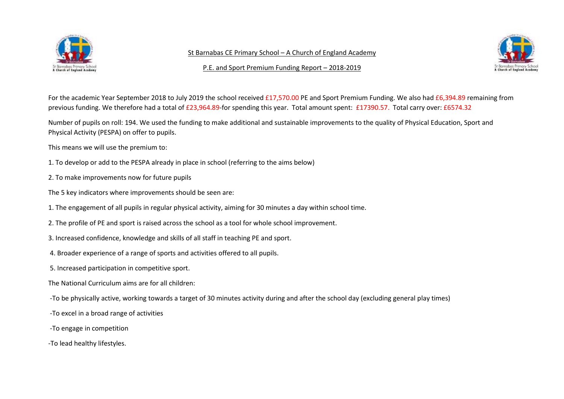

St Barnabas CE Primary School – A Church of England Academy

P.E. and Sport Premium Funding Report – 2018-2019



For the academic Year September 2018 to July 2019 the school received £17,570.00 PE and Sport Premium Funding. We also had £6,394.89 remaining from previous funding. We therefore had a total of £23,964.89-for spending this year. Total amount spent: £17390.57. Total carry over: £6574.32

Number of pupils on roll: 194. We used the funding to make additional and sustainable improvements to the quality of Physical Education, Sport and Physical Activity (PESPA) on offer to pupils.

This means we will use the premium to:

- 1. To develop or add to the PESPA already in place in school (referring to the aims below)
- 2. To make improvements now for future pupils
- The 5 key indicators where improvements should be seen are:
- 1. The engagement of all pupils in regular physical activity, aiming for 30 minutes a day within school time.
- 2. The profile of PE and sport is raised across the school as a tool for whole school improvement.
- 3. Increased confidence, knowledge and skills of all staff in teaching PE and sport.
- 4. Broader experience of a range of sports and activities offered to all pupils.
- 5. Increased participation in competitive sport.
- The National Curriculum aims are for all children:
- -To be physically active, working towards a target of 30 minutes activity during and after the school day (excluding general play times)
- -To excel in a broad range of activities
- -To engage in competition
- -To lead healthy lifestyles.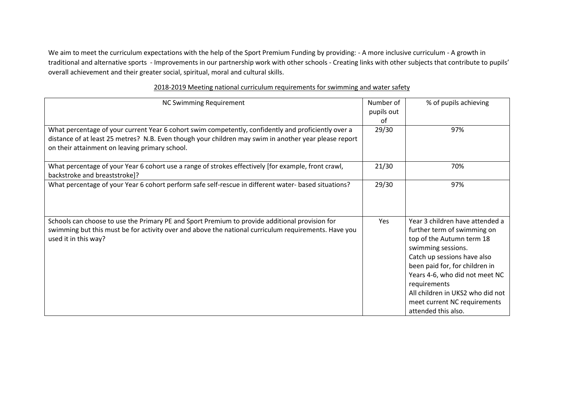We aim to meet the curriculum expectations with the help of the Sport Premium Funding by providing: - A more inclusive curriculum - A growth in traditional and alternative sports - Improvements in our partnership work with other schools - Creating links with other subjects that contribute to pupils' overall achievement and their greater social, spiritual, moral and cultural skills.

| <b>NC Swimming Requirement</b>                                                                        | Number of  | % of pupils achieving            |
|-------------------------------------------------------------------------------------------------------|------------|----------------------------------|
|                                                                                                       | pupils out |                                  |
|                                                                                                       | of         |                                  |
| What percentage of your current Year 6 cohort swim competently, confidently and proficiently over a   | 29/30      | 97%                              |
| distance of at least 25 metres? N.B. Even though your children may swim in another year please report |            |                                  |
| on their attainment on leaving primary school.                                                        |            |                                  |
|                                                                                                       |            |                                  |
| What percentage of your Year 6 cohort use a range of strokes effectively [for example, front crawl,   | 21/30      | 70%                              |
| backstroke and breaststroke]?                                                                         |            |                                  |
| What percentage of your Year 6 cohort perform safe self-rescue in different water- based situations?  | 29/30      | 97%                              |
|                                                                                                       |            |                                  |
|                                                                                                       |            |                                  |
|                                                                                                       |            |                                  |
| Schools can choose to use the Primary PE and Sport Premium to provide additional provision for        | Yes        | Year 3 children have attended a  |
| swimming but this must be for activity over and above the national curriculum requirements. Have you  |            | further term of swimming on      |
| used it in this way?                                                                                  |            | top of the Autumn term 18        |
|                                                                                                       |            | swimming sessions.               |
|                                                                                                       |            | Catch up sessions have also      |
|                                                                                                       |            | been paid for, for children in   |
|                                                                                                       |            | Years 4-6, who did not meet NC   |
|                                                                                                       |            | requirements                     |
|                                                                                                       |            | All children in UKS2 who did not |
|                                                                                                       |            | meet current NC requirements     |
|                                                                                                       |            | attended this also.              |

## 2018-2019 Meeting national curriculum requirements for swimming and water safety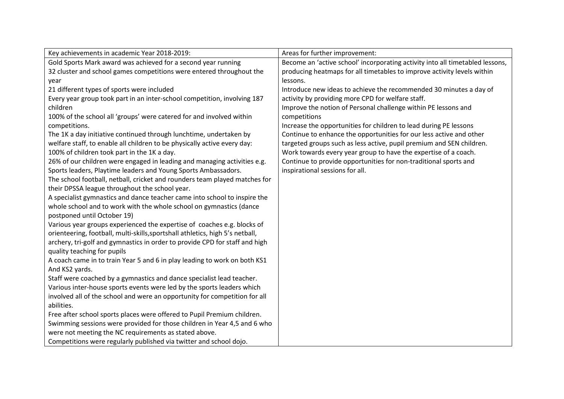| Key achievements in academic Year 2018-2019:                                  | Areas for further improvement:                                                |
|-------------------------------------------------------------------------------|-------------------------------------------------------------------------------|
| Gold Sports Mark award was achieved for a second year running                 | Become an 'active school' incorporating activity into all timetabled lessons, |
| 32 cluster and school games competitions were entered throughout the          | producing heatmaps for all timetables to improve activity levels within       |
| year                                                                          | lessons.                                                                      |
| 21 different types of sports were included                                    | Introduce new ideas to achieve the recommended 30 minutes a day of            |
| Every year group took part in an inter-school competition, involving 187      | activity by providing more CPD for welfare staff.                             |
| children                                                                      | Improve the notion of Personal challenge within PE lessons and                |
| 100% of the school all 'groups' were catered for and involved within          | competitions                                                                  |
| competitions.                                                                 | Increase the opportunities for children to lead during PE lessons             |
| The 1K a day initiative continued through lunchtime, undertaken by            | Continue to enhance the opportunities for our less active and other           |
| welfare staff, to enable all children to be physically active every day:      | targeted groups such as less active, pupil premium and SEN children.          |
| 100% of children took part in the 1K a day.                                   | Work towards every year group to have the expertise of a coach.               |
| 26% of our children were engaged in leading and managing activities e.g.      | Continue to provide opportunities for non-traditional sports and              |
| Sports leaders, Playtime leaders and Young Sports Ambassadors.                | inspirational sessions for all.                                               |
| The school football, netball, cricket and rounders team played matches for    |                                                                               |
| their DPSSA league throughout the school year.                                |                                                                               |
| A specialist gymnastics and dance teacher came into school to inspire the     |                                                                               |
| whole school and to work with the whole school on gymnastics (dance           |                                                                               |
| postponed until October 19)                                                   |                                                                               |
| Various year groups experienced the expertise of coaches e.g. blocks of       |                                                                               |
| orienteering, football, multi-skills, sportshall athletics, high 5's netball, |                                                                               |
| archery, tri-golf and gymnastics in order to provide CPD for staff and high   |                                                                               |
| quality teaching for pupils                                                   |                                                                               |
| A coach came in to train Year 5 and 6 in play leading to work on both KS1     |                                                                               |
| And KS2 yards.                                                                |                                                                               |
| Staff were coached by a gymnastics and dance specialist lead teacher.         |                                                                               |
| Various inter-house sports events were led by the sports leaders which        |                                                                               |
| involved all of the school and were an opportunity for competition for all    |                                                                               |
| abilities.                                                                    |                                                                               |
| Free after school sports places were offered to Pupil Premium children.       |                                                                               |
| Swimming sessions were provided for those children in Year 4,5 and 6 who      |                                                                               |
| were not meeting the NC requirements as stated above.                         |                                                                               |
| Competitions were regularly published via twitter and school dojo.            |                                                                               |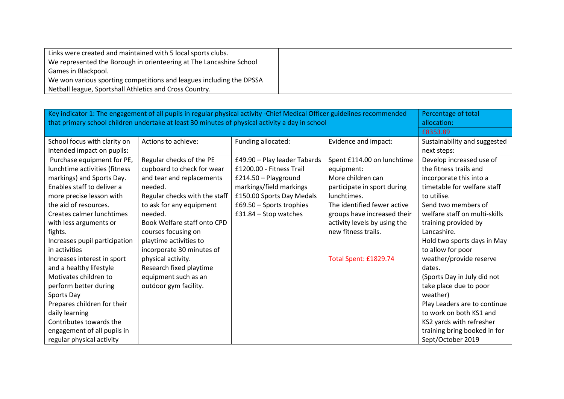| Links were created and maintained with 5 local sports clubs.         |  |
|----------------------------------------------------------------------|--|
| We represented the Borough in orienteering at The Lancashire School  |  |
| Games in Blackpool.                                                  |  |
| We won various sporting competitions and leagues including the DPSSA |  |
| Netball league, Sportshall Athletics and Cross Country.              |  |

| Key indicator 1: The engagement of all pupils in regular physical activity -Chief Medical Officer guidelines recommended<br>that primary school children undertake at least 30 minutes of physical activity a day in school | Percentage of total<br>allocation: |                              |                              |                               |
|-----------------------------------------------------------------------------------------------------------------------------------------------------------------------------------------------------------------------------|------------------------------------|------------------------------|------------------------------|-------------------------------|
|                                                                                                                                                                                                                             | £8353.89                           |                              |                              |                               |
| School focus with clarity on                                                                                                                                                                                                | Actions to achieve:                | Funding allocated:           | Evidence and impact:         | Sustainability and suggested  |
| intended impact on pupils:                                                                                                                                                                                                  |                                    |                              |                              | next steps:                   |
| Purchase equipment for PE,                                                                                                                                                                                                  | Regular checks of the PE           | £49.90 - Play leader Tabards | Spent £114.00 on lunchtime   | Develop increased use of      |
| lunchtime activities (fitness                                                                                                                                                                                               | cupboard to check for wear         | £1200.00 - Fitness Trail     | equipment:                   | the fitness trails and        |
| markings) and Sports Day.                                                                                                                                                                                                   | and tear and replacements          | £214.50 - Playground         | More children can            | incorporate this into a       |
| Enables staff to deliver a                                                                                                                                                                                                  | needed.                            | markings/field markings      | participate in sport during  | timetable for welfare staff   |
| more precise lesson with                                                                                                                                                                                                    | Regular checks with the staff      | £150.00 Sports Day Medals    | lunchtimes.                  | to utilise.                   |
| the aid of resources.                                                                                                                                                                                                       | to ask for any equipment           | £69.50 - Sports trophies     | The identified fewer active  | Send two members of           |
| Creates calmer lunchtimes                                                                                                                                                                                                   | needed.                            | $£31.84 - Stop$ watches      | groups have increased their  | welfare staff on multi-skills |
| with less arguments or                                                                                                                                                                                                      | Book Welfare staff onto CPD        |                              | activity levels by using the | training provided by          |
| fights.                                                                                                                                                                                                                     | courses focusing on                |                              | new fitness trails.          | Lancashire.                   |
| Increases pupil participation                                                                                                                                                                                               | playtime activities to             |                              |                              | Hold two sports days in May   |
| in activities                                                                                                                                                                                                               | incorporate 30 minutes of          |                              |                              | to allow for poor             |
| Increases interest in sport                                                                                                                                                                                                 | physical activity.                 |                              | Total Spent: £1829.74        | weather/provide reserve       |
| and a healthy lifestyle                                                                                                                                                                                                     | Research fixed playtime            |                              |                              | dates.                        |
| Motivates children to                                                                                                                                                                                                       | equipment such as an               |                              |                              | (Sports Day in July did not   |
| perform better during                                                                                                                                                                                                       | outdoor gym facility.              |                              |                              | take place due to poor        |
| Sports Day                                                                                                                                                                                                                  |                                    |                              |                              | weather)                      |
| Prepares children for their                                                                                                                                                                                                 |                                    |                              |                              | Play Leaders are to continue  |
| daily learning                                                                                                                                                                                                              |                                    |                              |                              | to work on both KS1 and       |
| Contributes towards the                                                                                                                                                                                                     |                                    |                              |                              | KS2 yards with refresher      |
| engagement of all pupils in                                                                                                                                                                                                 |                                    |                              |                              | training bring booked in for  |
| regular physical activity                                                                                                                                                                                                   |                                    |                              |                              | Sept/October 2019             |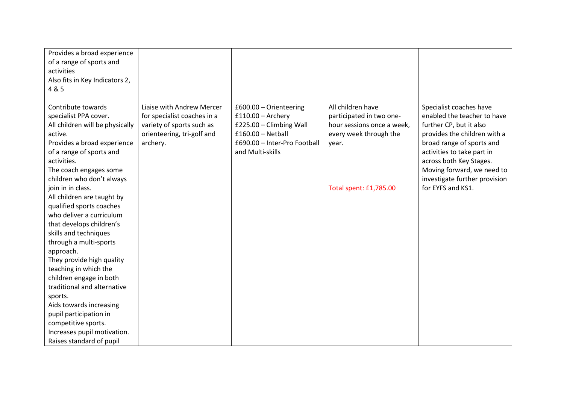| Provides a broad experience<br>of a range of sports and<br>activities<br>Also fits in Key Indicators 2,<br>4 & 5                                                                                                                                                                                                                                                                                                                                                                                                                                                                                                                                                                                    |                                                                                                                                 |                                                                                                                                                     |                                                                                                                                          |                                                                                                                                                                                                                                                                                             |
|-----------------------------------------------------------------------------------------------------------------------------------------------------------------------------------------------------------------------------------------------------------------------------------------------------------------------------------------------------------------------------------------------------------------------------------------------------------------------------------------------------------------------------------------------------------------------------------------------------------------------------------------------------------------------------------------------------|---------------------------------------------------------------------------------------------------------------------------------|-----------------------------------------------------------------------------------------------------------------------------------------------------|------------------------------------------------------------------------------------------------------------------------------------------|---------------------------------------------------------------------------------------------------------------------------------------------------------------------------------------------------------------------------------------------------------------------------------------------|
| Contribute towards<br>specialist PPA cover.<br>All children will be physically<br>active.<br>Provides a broad experience<br>of a range of sports and<br>activities.<br>The coach engages some<br>children who don't always<br>join in in class.<br>All children are taught by<br>qualified sports coaches<br>who deliver a curriculum<br>that develops children's<br>skills and techniques<br>through a multi-sports<br>approach.<br>They provide high quality<br>teaching in which the<br>children engage in both<br>traditional and alternative<br>sports.<br>Aids towards increasing<br>pupil participation in<br>competitive sports.<br>Increases pupil motivation.<br>Raises standard of pupil | Liaise with Andrew Mercer<br>for specialist coaches in a<br>variety of sports such as<br>orienteering, tri-golf and<br>archery. | £600.00 - Orienteering<br>$£110.00 -$ Archery<br>£225.00 - Climbing Wall<br>$£160.00 - Netball$<br>£690.00 - Inter-Pro Football<br>and Multi-skills | All children have<br>participated in two one-<br>hour sessions once a week,<br>every week through the<br>year.<br>Total spent: £1,785.00 | Specialist coaches have<br>enabled the teacher to have<br>further CP, but it also<br>provides the children with a<br>broad range of sports and<br>activities to take part in<br>across both Key Stages.<br>Moving forward, we need to<br>investigate further provision<br>for EYFS and KS1. |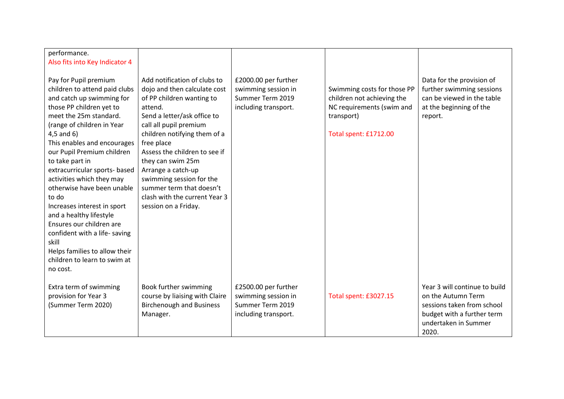| performance.                                                                                                                                                                                                                                                                                                                                                                                                                                                                                                  |                                                                                                                                                                                                                                                                                                                                                                                                          |                                                                                         |                                                                                                                               |                                                                                                                                                  |
|---------------------------------------------------------------------------------------------------------------------------------------------------------------------------------------------------------------------------------------------------------------------------------------------------------------------------------------------------------------------------------------------------------------------------------------------------------------------------------------------------------------|----------------------------------------------------------------------------------------------------------------------------------------------------------------------------------------------------------------------------------------------------------------------------------------------------------------------------------------------------------------------------------------------------------|-----------------------------------------------------------------------------------------|-------------------------------------------------------------------------------------------------------------------------------|--------------------------------------------------------------------------------------------------------------------------------------------------|
| Also fits into Key Indicator 4                                                                                                                                                                                                                                                                                                                                                                                                                                                                                |                                                                                                                                                                                                                                                                                                                                                                                                          |                                                                                         |                                                                                                                               |                                                                                                                                                  |
| Pay for Pupil premium<br>children to attend paid clubs<br>and catch up swimming for<br>those PP children yet to<br>meet the 25m standard.<br>(range of children in Year<br>$4,5$ and $6)$<br>This enables and encourages<br>our Pupil Premium children<br>to take part in<br>extracurricular sports- based<br>activities which they may<br>otherwise have been unable<br>to do<br>Increases interest in sport<br>and a healthy lifestyle<br>Ensures our children are<br>confident with a life-saving<br>skill | Add notification of clubs to<br>dojo and then calculate cost<br>of PP children wanting to<br>attend.<br>Send a letter/ask office to<br>call all pupil premium<br>children notifying them of a<br>free place<br>Assess the children to see if<br>they can swim 25m<br>Arrange a catch-up<br>swimming session for the<br>summer term that doesn't<br>clash with the current Year 3<br>session on a Friday. | £2000.00 per further<br>swimming session in<br>Summer Term 2019<br>including transport. | Swimming costs for those PP<br>children not achieving the<br>NC requirements (swim and<br>transport)<br>Total spent: £1712.00 | Data for the provision of<br>further swimming sessions<br>can be viewed in the table<br>at the beginning of the<br>report.                       |
| Helps families to allow their<br>children to learn to swim at<br>no cost.                                                                                                                                                                                                                                                                                                                                                                                                                                     |                                                                                                                                                                                                                                                                                                                                                                                                          |                                                                                         |                                                                                                                               |                                                                                                                                                  |
| Extra term of swimming<br>provision for Year 3<br>(Summer Term 2020)                                                                                                                                                                                                                                                                                                                                                                                                                                          | Book further swimming<br>course by liaising with Claire<br><b>Birchenough and Business</b><br>Manager.                                                                                                                                                                                                                                                                                                   | £2500.00 per further<br>swimming session in<br>Summer Term 2019<br>including transport. | Total spent: £3027.15                                                                                                         | Year 3 will continue to build<br>on the Autumn Term<br>sessions taken from school<br>budget with a further term<br>undertaken in Summer<br>2020. |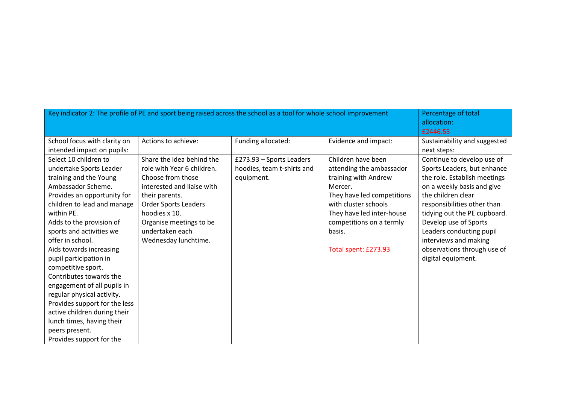| Key indicator 2: The profile of PE and sport being raised across the school as a tool for whole school improvement                                                                                                                                                                                                                                                                                                                                                                                                                                                      |                                                                                                                                                                                                                                                    |                                                                      |                                                                                                                                                                                                                                    | Percentage of total<br>allocation:                                                                                                                                                                                                                                                                                                              |
|-------------------------------------------------------------------------------------------------------------------------------------------------------------------------------------------------------------------------------------------------------------------------------------------------------------------------------------------------------------------------------------------------------------------------------------------------------------------------------------------------------------------------------------------------------------------------|----------------------------------------------------------------------------------------------------------------------------------------------------------------------------------------------------------------------------------------------------|----------------------------------------------------------------------|------------------------------------------------------------------------------------------------------------------------------------------------------------------------------------------------------------------------------------|-------------------------------------------------------------------------------------------------------------------------------------------------------------------------------------------------------------------------------------------------------------------------------------------------------------------------------------------------|
|                                                                                                                                                                                                                                                                                                                                                                                                                                                                                                                                                                         |                                                                                                                                                                                                                                                    |                                                                      |                                                                                                                                                                                                                                    | £2446.55                                                                                                                                                                                                                                                                                                                                        |
| School focus with clarity on<br>intended impact on pupils:                                                                                                                                                                                                                                                                                                                                                                                                                                                                                                              | Actions to achieve:                                                                                                                                                                                                                                | Funding allocated:                                                   | Evidence and impact:                                                                                                                                                                                                               | Sustainability and suggested<br>next steps:                                                                                                                                                                                                                                                                                                     |
| Select 10 children to<br>undertake Sports Leader<br>training and the Young<br>Ambassador Scheme.<br>Provides an opportunity for<br>children to lead and manage<br>within PE.<br>Adds to the provision of<br>sports and activities we<br>offer in school.<br>Aids towards increasing<br>pupil participation in<br>competitive sport.<br>Contributes towards the<br>engagement of all pupils in<br>regular physical activity.<br>Provides support for the less<br>active children during their<br>lunch times, having their<br>peers present.<br>Provides support for the | Share the idea behind the<br>role with Year 6 children.<br>Choose from those<br>interested and liaise with<br>their parents.<br><b>Order Sports Leaders</b><br>hoodies x 10.<br>Organise meetings to be<br>undertaken each<br>Wednesday lunchtime. | £273.93 - Sports Leaders<br>hoodies, team t-shirts and<br>equipment. | Children have been<br>attending the ambassador<br>training with Andrew<br>Mercer.<br>They have led competitions<br>with cluster schools<br>They have led inter-house<br>competitions on a termly<br>basis.<br>Total spent: £273.93 | Continue to develop use of<br>Sports Leaders, but enhance<br>the role. Establish meetings<br>on a weekly basis and give<br>the children clear<br>responsibilities other than<br>tidying out the PE cupboard.<br>Develop use of Sports<br>Leaders conducting pupil<br>interviews and making<br>observations through use of<br>digital equipment. |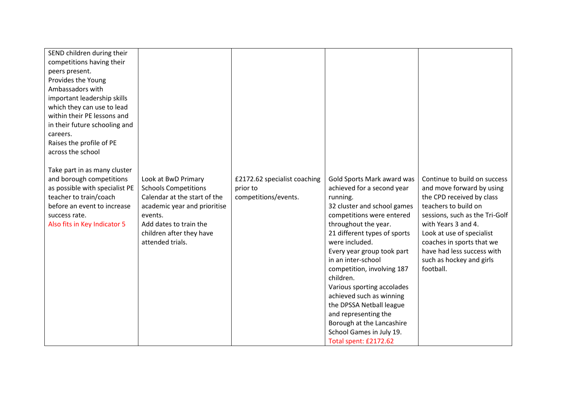| SEND children during their     |                              |                              |                              |                                |
|--------------------------------|------------------------------|------------------------------|------------------------------|--------------------------------|
| competitions having their      |                              |                              |                              |                                |
| peers present.                 |                              |                              |                              |                                |
| Provides the Young             |                              |                              |                              |                                |
| Ambassadors with               |                              |                              |                              |                                |
| important leadership skills    |                              |                              |                              |                                |
| which they can use to lead     |                              |                              |                              |                                |
| within their PE lessons and    |                              |                              |                              |                                |
| in their future schooling and  |                              |                              |                              |                                |
| careers.                       |                              |                              |                              |                                |
| Raises the profile of PE       |                              |                              |                              |                                |
| across the school              |                              |                              |                              |                                |
|                                |                              |                              |                              |                                |
| Take part in as many cluster   |                              |                              |                              |                                |
| and borough competitions       | Look at BwD Primary          | £2172.62 specialist coaching | Gold Sports Mark award was   | Continue to build on success   |
| as possible with specialist PE | <b>Schools Competitions</b>  | prior to                     | achieved for a second year   | and move forward by using      |
| teacher to train/coach         | Calendar at the start of the | competitions/events.         | running.                     | the CPD received by class      |
| before an event to increase    | academic year and prioritise |                              | 32 cluster and school games  | teachers to build on           |
| success rate.                  | events.                      |                              | competitions were entered    | sessions, such as the Tri-Golf |
| Also fits in Key Indicator 5   | Add dates to train the       |                              | throughout the year.         | with Years 3 and 4.            |
|                                | children after they have     |                              | 21 different types of sports | Look at use of specialist      |
|                                | attended trials.             |                              | were included.               | coaches in sports that we      |
|                                |                              |                              | Every year group took part   | have had less success with     |
|                                |                              |                              | in an inter-school           | such as hockey and girls       |
|                                |                              |                              | competition, involving 187   | football.                      |
|                                |                              |                              | children.                    |                                |
|                                |                              |                              | Various sporting accolades   |                                |
|                                |                              |                              | achieved such as winning     |                                |
|                                |                              |                              | the DPSSA Netball league     |                                |
|                                |                              |                              | and representing the         |                                |
|                                |                              |                              | Borough at the Lancashire    |                                |
|                                |                              |                              | School Games in July 19.     |                                |
|                                |                              |                              | Total spent: £2172.62        |                                |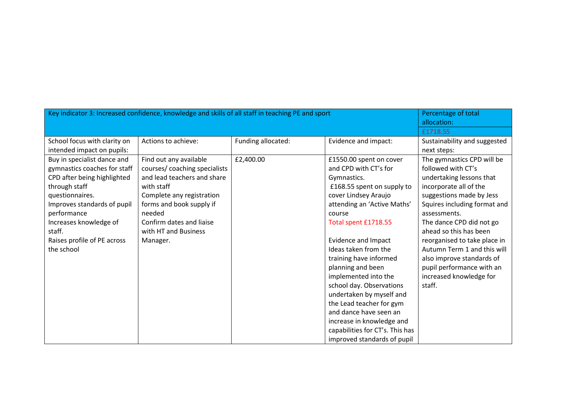| Key indicator 3: Increased confidence, knowledge and skills of all staff in teaching PE and sport | Percentage of total<br>allocation: |                    |                                 |                              |
|---------------------------------------------------------------------------------------------------|------------------------------------|--------------------|---------------------------------|------------------------------|
|                                                                                                   |                                    |                    |                                 | £1718.55                     |
| School focus with clarity on                                                                      | Actions to achieve:                | Funding allocated: | Evidence and impact:            | Sustainability and suggested |
| intended impact on pupils:                                                                        |                                    |                    |                                 | next steps:                  |
| Buy in specialist dance and                                                                       | Find out any available             | £2,400.00          | £1550.00 spent on cover         | The gymnastics CPD will be   |
| gymnastics coaches for staff                                                                      | courses/ coaching specialists      |                    | and CPD with CT's for           | followed with CT's           |
| CPD after being highlighted                                                                       | and lead teachers and share        |                    | Gymnastics.                     | undertaking lessons that     |
| through staff                                                                                     | with staff                         |                    | £168.55 spent on supply to      | incorporate all of the       |
| questionnaires.                                                                                   | Complete any registration          |                    | cover Lindsey Araujo            | suggestions made by Jess     |
| Improves standards of pupil                                                                       | forms and book supply if           |                    | attending an 'Active Maths'     | Squires including format and |
| performance                                                                                       | needed                             |                    | course                          | assessments.                 |
| Increases knowledge of                                                                            | Confirm dates and liaise           |                    | Total spent £1718.55            | The dance CPD did not go     |
| staff.                                                                                            | with HT and Business               |                    |                                 | ahead so this has been       |
| Raises profile of PE across                                                                       | Manager.                           |                    | Evidence and Impact             | reorganised to take place in |
| the school                                                                                        |                                    |                    | Ideas taken from the            | Autumn Term 1 and this will  |
|                                                                                                   |                                    |                    | training have informed          | also improve standards of    |
|                                                                                                   |                                    |                    | planning and been               | pupil performance with an    |
|                                                                                                   |                                    |                    | implemented into the            | increased knowledge for      |
|                                                                                                   |                                    |                    | school day. Observations        | staff.                       |
|                                                                                                   |                                    |                    | undertaken by myself and        |                              |
|                                                                                                   |                                    |                    | the Lead teacher for gym        |                              |
|                                                                                                   |                                    |                    | and dance have seen an          |                              |
|                                                                                                   |                                    |                    | increase in knowledge and       |                              |
|                                                                                                   |                                    |                    | capabilities for CT's. This has |                              |
|                                                                                                   |                                    |                    | improved standards of pupil     |                              |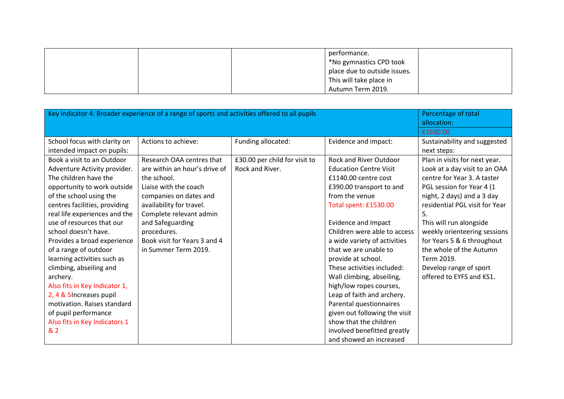|  | performance.                 |  |
|--|------------------------------|--|
|  | *No gymnastics CPD took      |  |
|  | place due to outside issues. |  |
|  | This will take place in      |  |
|  | Autumn Term 2019.            |  |

| Key indicator 4: Broader experience of a range of sports and activities offered to all pupils | Percentage of total<br>allocation: |                               |                               |                                |
|-----------------------------------------------------------------------------------------------|------------------------------------|-------------------------------|-------------------------------|--------------------------------|
|                                                                                               |                                    |                               |                               | £1530.00                       |
| School focus with clarity on                                                                  | Actions to achieve:                | Funding allocated:            | Evidence and impact:          | Sustainability and suggested   |
| intended impact on pupils:                                                                    |                                    |                               |                               | next steps:                    |
| Book a visit to an Outdoor                                                                    | Research OAA centres that          | £30.00 per child for visit to | <b>Rock and River Outdoor</b> | Plan in visits for next year.  |
| Adventure Activity provider.                                                                  | are within an hour's drive of      | Rock and River.               | <b>Education Centre Visit</b> | Look at a day visit to an OAA  |
| The children have the                                                                         | the school.                        |                               | £1140.00 centre cost          | centre for Year 3. A taster    |
| opportunity to work outside                                                                   | Liaise with the coach              |                               | £390.00 transport to and      | PGL session for Year 4 (1      |
| of the school using the                                                                       | companies on dates and             |                               | from the venue                | night, 2 days) and a 3 day     |
| centres facilities, providing                                                                 | availability for travel.           |                               | Total spent: £1530.00         | residential PGL visit for Year |
| real life experiences and the                                                                 | Complete relevant admin            |                               |                               | 5.                             |
| use of resources that our                                                                     | and Safeguarding                   |                               | <b>Evidence and Impact</b>    | This will run alongside        |
| school doesn't have.                                                                          | procedures.                        |                               | Children were able to access  | weekly orienteering sessions   |
| Provides a broad experience                                                                   | Book visit for Years 3 and 4       |                               | a wide variety of activities  | for Years 5 & 6 throughout     |
| of a range of outdoor                                                                         | in Summer Term 2019.               |                               | that we are unable to         | the whole of the Autumn        |
| learning activities such as                                                                   |                                    |                               | provide at school.            | Term 2019.                     |
| climbing, abseiling and                                                                       |                                    |                               | These activities included:    | Develop range of sport         |
| archery.                                                                                      |                                    |                               | Wall climbing, abseiling,     | offered to EYFS and KS1.       |
| Also fits in Key Indicator 1,                                                                 |                                    |                               | high/low ropes courses,       |                                |
| 2, 4 & 5 Increases pupil                                                                      |                                    |                               | Leap of faith and archery.    |                                |
| motivation. Raises standard                                                                   |                                    |                               | Parental questionnaires       |                                |
| of pupil performance                                                                          |                                    |                               | given out following the visit |                                |
| Also fits in Key Indicators 1                                                                 |                                    |                               | show that the children        |                                |
| & 2                                                                                           |                                    |                               | involved benefitted greatly   |                                |
|                                                                                               |                                    |                               | and showed an increased       |                                |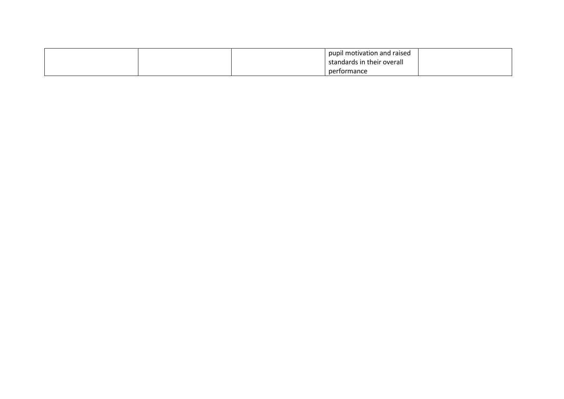|  | pupil motivation and raised |  |
|--|-----------------------------|--|
|  | standards in their overall  |  |
|  | performance                 |  |